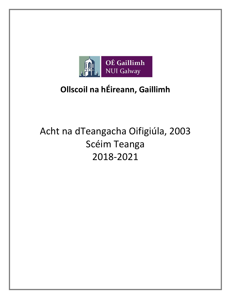

## **Ollscoil na hÉireann, Gaillimh**

# Acht na dTeangacha Oifigiúla, 2003 Scéim Teanga 2018-2021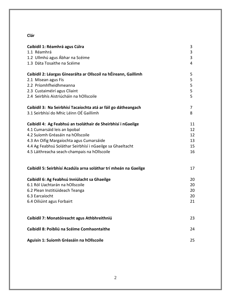## **Clár**

| Caibidil 1: Réamhrá agus Cúlra                                   | 3  |
|------------------------------------------------------------------|----|
| 1.1 Réamhrá                                                      | 3  |
| 1.2 Ullmhú agus Ábhar na Scéime                                  | 3  |
| 1.3 Dáta Tosaithe na Scéime                                      | 4  |
| Caibidil 2: Léargas Ginearálta ar Ollscoil na hÉireann, Gaillimh | 5  |
| 2.1 Misean agus Fís                                              | 5  |
| 2.2 Príomhfheidhmeanna                                           | 5  |
| 2.3 Custaiméirí agus Cliaint                                     | 5  |
| 2.4 Seirbhís Aistriúcháin na hOllscoile                          | 5  |
| Caibidil 3: Na Seirbhísí Tacaíochta atá ar fáil go dátheangach   | 7  |
| 3.1 Seirbhísí do Mhic Léinn OÉ Gaillimh                          | 8  |
| Caibidil 4: Ag Feabhsú an tsoláthair de Sheirbhísí i nGaeilge    | 11 |
| 4.1 Cumarsáid leis an bpobal                                     | 12 |
| 4.2 Suíomh Gréasáin na hOllscoile                                | 12 |
| 4.3 An Oifig Margaíochta agus Cumarsáide                         | 13 |
| 4.4 Ag Feabhsú Soláthar Seirbhísí i nGaeilge sa Ghaeltacht       | 15 |
| 4.5 Láithreacha seach-champais na hOllscoile                     | 16 |
| Caibidil 5: Seirbhísí Acadúla arna soláthar trí mheán na Gaeilge | 17 |
| Caibidil 6: Ag Feabhsú Inniúlacht sa Ghaeilge                    | 20 |
| 6.1 Ról Uachtarán na hOllscoile                                  | 20 |
| 6.2 Plean Institiúideach Teanga                                  | 20 |
| 6.3 Earcaíocht                                                   | 20 |
| 6.4 Oiliúint agus Forbairt                                       | 21 |
| Caibidil 7: Monatóireacht agus Athbhreithniú                     | 23 |
| Caibidil 8: Poibliú na Scéime Comhaontaithe                      | 24 |
| Aguisín 1: Suíomh Gréasáin na hOllscoile                         | 25 |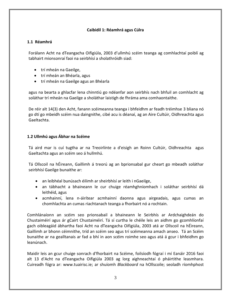#### **Caibidil 1: Réamhrá agus Cúlra**

#### <span id="page-2-1"></span><span id="page-2-0"></span>**1.1 Réamhrá**

Forálann Acht na dTeangacha Oifigiúla, 2003 d'ullmhú scéim teanga ag comhlachtaí poiblí ag tabhairt mionsonraí faoi na seirbhísí a sholathróidh siad:

- trí mheán na Gaeilge,
- trí mheán an Bhéarla, agus
- trí mheán na Gaeilge agus an Bhéarla

agus na bearta a ghlacfar lena chinntiú go ndéanfar aon seirbhís nach bhfuil an comhlacht ag soláthar trí mheán na Gaeilge a sholáthar laistigh de fhráma ama comhaontaithe.

De réir alt 14(3) den Acht, fanann scéimeanna teanga i bhfeidhm ar feadh tréimhse 3 bliana nó go dtí go mbeidh scéim nua daingnithe, cibé acu is déanaí, ag an Aire Cultúir, Oidhreachta agus Gaeltachta.

## <span id="page-2-2"></span>**1.2 Ullmhú agus Ábhar na Scéime**

Tá aird mar is cuí tugtha ar na Treoirlínte a d'eisigh an Roinn Cultúir, Oidhreachta agus Gaeltachta agus an scéim seo á hullmhú.

Tá Ollscoil na hÉireann, Gaillimh á treorú ag an bprionsabal gur cheart go mbeadh soláthar seirbhísí Gaeilge bunaithe ar:

- an leibhéal bunúsach éilimh ar sheirbhísí ar leith i nGaeilge,
- an tábhacht a bhaineann le cur chuige réamhghníomhach i soláthar seirbhísí dá leithéid, agus
- acmhainní, lena n-áirítear acmhainní daonna agus airgeadais, agus cumas an chomhlachta an cumas riachtanach teanga a fhorbairt nó a rochtain.

Comhlánaíonn an scéim seo prionsabail a bhaineann le Seirbhís ar Ardchaighdeán do Chustaiméirí agus ár gCairt Chustaiméirí. Tá sí curtha le chéile leis an aidhm go gcomhlíonfaí gach oibleagáid ábhartha faoi Acht na dTeangacha Oifigiúla, 2003 atá ar Ollscoil na hÉireann, Gaillimh ar bhonn céimnithe, tríd an scéim seo agus trí scéimeanna amach anseo. Tá an Scéim bunaithe ar na gealltanais ar fad a bhí in aon scéim roimhe seo agus atá á gcur i bhfeidhm go leanúnach.

Maidir leis an gcur chuige sonrach d'fhorbairt na Scéime, foilsíodh fógraí i mí Eanáir 2016 faoi alt 13 d'Acht na dTeangacha Oifigiúla 2003 ag lorg aighneachtaí ó pháirtithe leasmhara. Cuireadh fógra ar: [www.tuairisc.ie;](http://www.tuairisc.ie/) ar shuíomh *Blackboard* na hOllscoile; seoladh ríomhphost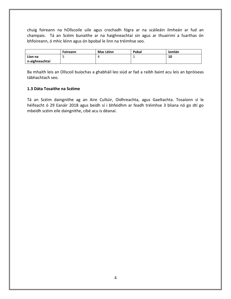chuig foireann na hOllscoile uile agus crochadh fógra ar na scáileáin ilmheán ar fud an champais. Tá an Scéim bunaithe ar na haighneachtaí sin agus ar thuairimí a fuarthas ón bhfoireann, ó mhic léinn agus ón bpobal le linn na tréimhse seo.

|                | Foireann | <b>Mac Léinn</b> | Pobal | Iomlán |
|----------------|----------|------------------|-------|--------|
| Líon na        |          |                  |       | 10     |
| n-aighneachtaí |          |                  |       |        |

Ba mhaith leis an Ollscoil buíochas a ghabháil leo siúd ar fad a raibh baint acu leis an bpróiseas tábhachtach seo.

#### <span id="page-3-0"></span>**1.3 Dáta Tosaithe na Scéime**

<span id="page-3-1"></span>Tá an Scéim daingnithe ag an Aire Cultúir, Oidhreachta, agus Gaeltachta. Tosaíonn sí le héifeacht ó 29 Eanáir 2018 agus beidh sí i bhfeidhm ar feadh tréimhse 3 bliana nó go dtí go mbeidh scéim eile daingnithe, cibé acu is déanaí.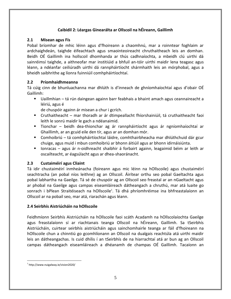## **Caibidil 2: Léargas Ginearálta ar Ollscoil na hÉireann, Gaillimh**

## <span id="page-4-0"></span>**2.1 Misean agus Fís**

Pobal bríomhar de mhic léinn agus d'fhoireann a chaomhnú, mar a roinntear foghlaim ar ardchaighdeán, taighde éifeachtach agus smaointeoireacht chruthaitheach leis an domhan. Beidh OÉ Gaillimh ina hollscoil dhomhanda ar thús cadhnaíochta, a mbeidh clú uirthi dá sainréimsí taighde, a aithneofar mar institiúid a bhfuil an-tóir uirthi maidir lena teagasc agus léann, a ndéanfar ceiliúradh uirthi dá rannpháirtíocht shármhaith leis an mórphobal, agus a bheidh saibhrithe ag líonra fuinniúil comhpháirtíochtaí.

## <span id="page-4-1"></span>**2.2 Príomhaidhmeanna**

Tá cúig cinn de bhunluachanna mar dhlúth is d'inneach de ghníomhaíochtaí agus d'obair OÉ Gaillimh:

 Uaillmhian – tá rún daingean againn barr feabhais a bhaint amach agus ceannaireacht a léiriú, agus é

de chuspóir againn ár misean a chur i gcrích.

- Cruthaitheacht mar thoradh ar ár dtimpeallacht fhíorshainiúil, tá cruthaitheacht faoi leith le sonrú maidir le gach a ndéanaimid.
- Tionchar beidh dea-thionchar ag ár rannpháirtíocht agus ár ngníomhaíochtaí ar Ghaillimh, ar an gcuid eile den tír, agus ar an domhan mór.
- Comhoibriú tá comhpháirtíochtaí láidre, comhthairbheacha mar dhlúthchuid dár gcur chuige, agus muid i mbun comhoibriú ar bhonn áitiúil agus ar bhonn idirnáisiúnta.
- Ionracas agus ár n-oidhreacht shaibhir á forbairt againn, leagaimid béim ar leith ar oscailteacht, ar éagsúlacht agus ar dhea-shaoránacht.

## <span id="page-4-2"></span>**2.3 Custaiméirí agus Cliaint**

<span id="page-4-3"></span>Tá idir chustaiméirí inmheánacha (foireann agus mic léinn na hOllscoile) agus chustaiméirí seachtracha (an pobal níos leithne) ag an Ollscoil. Áirítear orthu seo pobal Gaeltachta agus pobal labhartha na Gaeilge. Tá sé de chuspóir ag an Ollscoil seo freastal ar an nGaeltacht agus ar phobal na Gaeilge agus campas eiseamláireach dátheangach a chruthú, mar atá luaite go sonrach i bPlean Straitéiseach na hOllscoile<sup>1</sup>. Tá dhá phríomhréimse ina bhfreastalaíonn an Ollscoil ar na pobail seo, mar atá, riarachán agus léann.

## **2.4 Seirbhís Aistriúcháin na hOllscoile**

Feidhmíonn Seirbhís Aistriúcháin na hOllscoile faoi scáth Acadamh na hOllscolaíochta Gaeilge agus freastalaíonn sí ar riachtanais teanga Ollscoil na hÉireann, Gaillimh. Sa tSeirbhís Aistriúcháin, cuirtear seirbhís aistriúcháin agus sainchomhairle teanga ar fáil d'fhoireann na hOllscoile chun a chinntiú go gcomhlíonann an Ollscoil na dualgais reachtúla atá uirthi maidir leis an dátheangachas. Is cuid dhílis í an tSeirbhís de na hiarrachtaí atá ar bun ag an Ollscoil campas dátheangach eiseamláireach a dhéanamh de champas OÉ Gaillimh. Tacaíonn an

<sup>&</sup>lt;u>.</u> 1 http://www.nuigalway.ie/vision2020/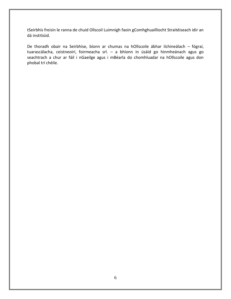tSeirbhís freisin le ranna de chuid Ollscoil Luimnigh faoin gComhghuaillíocht Straitéiseach idir an dá institiúid.

De thoradh obair na Seirbhíse, bíonn ar chumas na hOllscoile ábhar ilchineálach – fógraí, tuarascálacha, ceistneoirí, foirmeacha srl. – a bhíonn in úsáid go hinmheánach agus go seachtrach a chur ar fáil i nGaeilge agus i mBéarla do chomhluadar na hOllscoile agus don phobal trí chéile.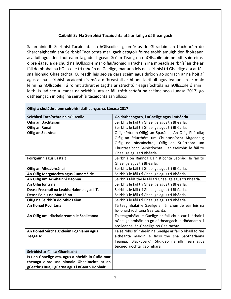## **Caibidil 3: Na Seirbhísí Tacaíochta atá ar fáil go dátheangach**

Sainmhíníodh Seirbhísí Tacaíochta na hOllscoile i gcomórtas do Ghradaim an Uachtaráin do Shárchaighdeán sna Seirbhísí Tacaíochta mar: gach catagóir foirne taobh amuigh den fhoireann acadúil agus den fhoireann taighde. I gcéad Scéim Teanga na hOllscoile ainmníodh sainréimsí oibre éagsúla de chuid na hOllscoile mar oifigí/aonaid riaracháin ina mbeadh seirbhísí áirithe ar fáil do phobal na hOllscoile trí mheán na Gaeilge, mar aon leis na seirbhísí trí Ghaeilge atá ar fáil sna hionaid Ghaeltachta. Cuireadh leis seo sa dara scéim agus díríodh go sonrach ar na hoifigí agus ar na seirbhísí tacaíochta is mó a d'fhreastail ar bhonn laethúil agus leanúnach ar mhic léinn na hOllscoile. Tá roinnt athruithe tagtha ar struchtúir eagraíochtúla na hOllscoile ó shin i leith. Is iad seo a leanas na seirbhísí atá ar fáil tráth scríofa na scéime seo (Lúnasa 2017) go dátheangach in oifigí na seirbhísí tacaíochta san ollscoil:

| Oifigí a sholáthraíonn seirbhísí dátheangacha, Lúnasa 2017 |                                                           |  |
|------------------------------------------------------------|-----------------------------------------------------------|--|
| Seirbhísí Tacaíochta na hOllscoile                         | Go dátheangach, i nGaeilge agus i mBéarla                 |  |
| Oifig an Uachtaráin                                        | Seirbhís le fáil trí Ghaeilge agus trí Bhéarla.           |  |
| Oifig an Rúnaí                                             | Seirbhís le fáil trí Ghaeilge agus trí Bhéarla.           |  |
| Oifig an Sparánaí                                          | Oifig (Príomh-Oifig) an Sparánaí; An Oifig Phárolla;      |  |
|                                                            | Oifig an Stiúrthóra um Chuntasaíocht Airgeadais;          |  |
|                                                            | Oifig na nÍocaíochtaí; Oifig an Stiúrthóra um             |  |
|                                                            | Chuntasaíocht Bainistíochta - an tseirbhís le fáil trí    |  |
|                                                            | Ghaeilge agus trí Bhéarla.                                |  |
| Foirgnimh agus Eastáit                                     | Seirbhís ón Rannóg Bainistíochta Saoráidí le fáil trí     |  |
|                                                            | Ghaeilge agus trí Bhéarla.                                |  |
| Oifig an Mheabhránaí                                       | Seirbhís le fáil trí Ghaeilge agus trí Bhéarla.           |  |
| An Oifig Margaíochta agus Cumarsáide                       | Seirbhís le fáil trí Ghaeilge agus trí Bhéarla.           |  |
| An Oifig um Acmhainní Daonna                               | Seirbhís fáiltithe le fáil trí Ghaeilge agus trí Bhéarla. |  |
| An Oifig Iontrála                                          | Seirbhís le fáil trí Ghaeilge agus trí Bhéarla.           |  |
| Deasc Freastail na Leabharlainne agus I.T.                 | Seirbhís le fáil trí Ghaeilge agus trí Bhéarla.           |  |
| Deasc Eolais na Mac Léinn                                  | Seirbhís le fáil trí Ghaeilge agus trí Bhéarla.           |  |
| Oifig na Seirbhísí do Mhic Léinn                           | Seirbhís le fáil trí Ghaeilge agus trí Bhéarla.           |  |
| <b>An tionad Rochtana</b>                                  | Tá teagmhálaí le Gaeilge ar fáil chun déileáil leis na    |  |
|                                                            | fo-ionaid rochtana Gaeltachta.                            |  |
| An Oifig um Idirchaidreamh le Scoileanna                   | Tá teagmhálaí le Gaeilge ar fáil chun cur i láthair i     |  |
|                                                            | nGaeilge amháin nó go dátheangach a dhéanamh i            |  |
|                                                            | scoileanna lán-Ghaeilge nó Gaeltachta.                    |  |
| An tIonad Sárchaighdeáin Foghlama agus                     | Tá seirbhís trí mheán na Gaeilge ar fáil ó bhaill foirne  |  |
| <b>Teagaisc</b>                                            | aitheanta maidir le fiosruithe sna Saotharlanna           |  |
|                                                            | Teanga, 'Blackboard', Stiúideo na nIlmheán agus           |  |
|                                                            | teicneolaíochtaí gaolmhara.                               |  |
| Seirbhísí ar fáil sa Ghaeltacht                            |                                                           |  |
| Is í an Ghaeilge atá, agus a bheidh in úsáid mar           |                                                           |  |
| theanga oibre sna hionaid Ghaeltachta ar an                |                                                           |  |
| gCeathrú Rua, i gCarna agus i nGaoth Dobhair.              |                                                           |  |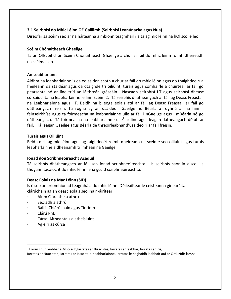## <span id="page-7-0"></span>**3.1 Seirbhísí do Mhic Léinn OÉ Gaillimh (Seirbhísí Leanúnacha agus Nua)**

Díreofar sa scéim seo ar na háiteanna a mbíonn teagmháil rialta ag mic léinn na hOllscoile leo.

#### **Scéim Chónaitheach Ghaeilge**

Tá an Ollscoil chun Scéim Chónaitheach Ghaeilge a chur ar fáil do mhic léinn roimh dheireadh na scéime seo.

#### **An Leabharlann**

Aidhm na leabharlainne is ea eolas den scoth a chur ar fáil do mhic léinn agus do thaighdeoirí a fheileann dá staidéar agus dá dtaighde trí oiliúint, turais agus comhairle a chuirtear ar fáil go pearsanta nó ar líne tríd an láithreán gréasáin. Nascadh seirbhísí I.T agus seirbhísí dheasc cúrsaíochta na leabharlainne le linn Scéim 2. Tá seirbhís dhátheangach ar fáil ag Deasc Freastail na Leabharlainne agus I.T. Beidh na bileoga eolais atá ar fáil ag Deasc Freastail ar fáil go dátheangach freisin. Tá rogha ag an úsáideoir Gaeilge nó Béarla a roghnú ar na hinnill féinseirbhíse agus tá foirmeacha na leabharlainne uile ar fáil i nGaeilge agus i mBéarla nó go dátheangach. Tá foirmeacha na leabharlainne uile<sup>2</sup> ar líne agus leagan dátheangach dóibh ar fáil. Tá leagan Gaeilge agus Béarla de threoirleabhar d'úsáideoirí ar fáil freisin.

#### **Turais agus Oiliúint**

Beidh deis ag mic léinn agus ag taighdeoirí roimh dheireadh na scéime seo oiliúint agus turais leabharlainne a dhéanamh trí mheán na Gaeilge.

## **Ionad don Scríbhneoireacht Acadúil**

Tá seirbhís dhátheangach ar fáil san ionad scríbhneoireachta. Is seirbhís saor in aisce í a thugann tacaíocht do mhic léinn lena gcuid scríbhneoireachta.

## **Deasc Eolais na Mac Léinn (SID)**

Is é seo an príomhionad teagmhála do mhic léinn. Déileáiltear le ceisteanna ginearálta clárúcháin ag an deasc eolais seo ina n-áirítear:

- · Ainm Cláraithe a athrú
- Seoladh a athrú
- · Ráitis Chlárúcháin agus Tinrimh
- · Clárú PhD

<u>.</u>

- · Cártaí Aitheantais a atheisiúint
- Ag éirí as cúrsa

<sup>&</sup>lt;sup>2</sup> Foirm chun leabhar a Mholadh,Iarratas ar thráchtas, Iarratas ar leabhar, Iarratas ar Iris, Iarratas ar Nuachtán, Iarratas ar Iasacht Idirleabharlainne, Iarratas le haghaidh leabhair atá ar Ordú/Idir lámha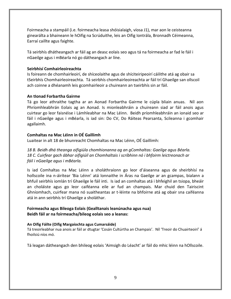Foirmeacha a stampáil (i.e. foirmeacha leasa shóisialaigh, víosa J1), mar aon le ceisteanna ginearálta a bhaineann le hOifig na Scrúduithe, leis an Oifig Iontrála, Bronnadh Céimeanna, Earraí caillte agus faighte.

Tá seirbhís dhátheangach ar fáil ag an deasc eolais seo agus tá na foirmeacha ar fad le fáil i nGaeilge agus i mBéarla nó go dátheangach ar líne.

#### **Seirbhísí Comhairleoireachta**

Is foireann de chomhairleoirí, de shíceolaithe agus de shíciteiripeoirí cáilithe atá ag obair sa tSeirbhís Chomhairleoireachta. Tá seirbhís chomhairleoireachta ar fáil trí Ghaeilge san ollscoil ach coinne a dhéanamh leis gcomhairleoir a chuireann an tseirbhís sin ar fáil.

#### **An tIonad Forbartha Gairme**

Tá go leor athraithe tagtha ar an Aonad Forbartha Gairme le cúpla bliain anuas. Níl aon Phríomhleabhrán Eolais ag an Aonad. Is mionleabhráin a chuireann siad ar fáil anois agus cuirtear go leor faisnéise i Lámhleabhar na Mac Léinn. Beidh príomhleabhráin an ionaid seo ar fáil i nGaeilge agus i mBéarla, is iad sin: Do CV, Do Ráiteas Pearsanta, Scileanna i gcomhair agallaimh.

## **Comhaltas na Mac Léinn in OÉ Gaillimh**

Luaitear in alt 18 de bhunreacht Chomhaltas na Mac Léinn, OÉ Gaillimh:

*18 B. Beidh dhá theanga oifigiúla chomhionanna ag an gComhaltas: Gaeilge agus Béarla. 18 C. Cuirfear gach ábhar oifigiúil an Chomhaltais i scríbhinn nó i bhfoirm leictreonach ar fáil i nGaeilge agus i mBéarla.* 

Is iad Comhaltas na Mac Léinn a sholáthraíonn go leor d'áiseanna agus de sheirbhísí na hollscoile ina n-áirítear 'Bia Léinn' atá lonnaithe in Áras na Gaeilge ar an gcampas, bialann a bhfuil seirbhís iomlán trí Ghaeilge le fáil inti. Is iad an comhaltas atá i bhfeighil an tsiopa, bheáir an choláiste agus go leor caiféanna eile ar fud an champais. Mar chuid den Tairiscint Ghníomhach, cuirfear mana nó suaitheantas ar t-léinte na bhfoirne atá ag obair sna caiféanna atá in ann seirbhís trí Ghaeilge a sholáthar.

## **Foirmeacha agus Bileoga Eolais (Gealltanais leanúnacha agus nua) Beidh fáil ar na foirmeacha/bileog eolais seo a leanas:**

#### **An Oifig Fáilte (Oifig Margaíochta agus Cumarsáide)**

Tá treoirleabhar nua anois ar fáil ar dtugtar 'Cosán Cultúrtha an Champais'. Níl 'Treoir do Chuairteoirí' á fhoilsiú níos mó.

Tá leagan dátheangach den bhileog eolais 'Aimsigh do Léacht' ar fáil do mhic léinn na hOllscoile.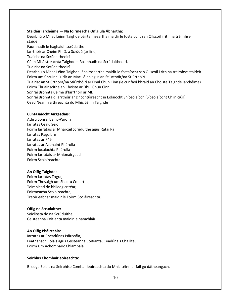#### **Staidéir Iarchéime — Na foirmeacha Oifigiúla Ábhartha:**

Cead Neamhláithreachta do Mhic Léinn Taighde Dearbhú ó Mhac Léinn Taighde páirtaimseartha maidir le fostaíocht san Ollscoil i rith na tréimhse staidéir Faomhadh le haghaidh scrúdaithe Iarrthóir ar Chéim Ph.D. a Scrúdú (ar líne) Tuairisc na Scrúdaitheoirí Céim Mháistreachta Taighde – Faomhadh na Scrúdaitheoirí, Tuairisc na Scrúdaitheoirí Dearbhú ó Mhac Léinn Taighde lánaimseartha maidir le fostaíocht san Ollscoil i rith na tréimhse staidéir Foirm um Chruinniú idir an Mac Léinn agus an Stiúrthóir/na Stiúrthóirí Tuairisc an Stiúrthóra/na Stiúrthóirí ar Dhul Chun Cinn (le cur faoi bhráid an Choiste Taighde Iarchéime) Foirm Thuairiscithe an Choiste ar Dhul Chun Cinn Sonraí Bronnta Céime d'Iarrthóir ar MD Sonraí Bronnta d'Iarrthóir ar Dhochtúireacht in Eolaíocht Shíceolaíoch (Síceolaíocht Chliniciúil)

#### **Cuntasaíocht Airgeadais:**

Foirm Scoláireachta Athrú Sonraí Bainc-Párolla Iarratas Cealú Seic Foirm Iarratais ar Mharcáil Scrúduithe agus Rátaí Pá Iarratas Ragoibre Iarratas ar P45 Iarratas ar Asbhaint Phárolla Foirm Íocaíochta Phárolla Foirm Iarratais ar Mhionairgead

#### **An Oifig Taighde:**

Treoirleabhar maidir le Foirm Scoláireachta. Foirm Iarratas Togra, Foirm Thosaigh um Shocrú Conartha, Teimpléad de bhileog critéar, Foirmeacha Scoláireachta,

#### **Oifig na Scrúdaithe:**

Ceisteanna Coitianta maidir le hamchláir. Seicliosta do na Scrúduithe,

#### **An Oifig Pháirceála:**

Foirm Um Achomhairc Chlampála Iarratas ar Cheadúnas Páirceála, Leathanach Eolais agus Ceisteanna Coitianta, Ceadúnais Chaillte,

#### **Seirbhís Chomhairleoireachta:**

Bileoga Eolais na Seirbhíse Comhairleoireachta do Mhic Léinn ar fáil go dátheangach.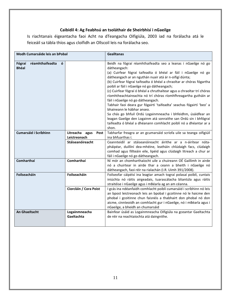## **Caibidil 4: Ag Feabhsú an tsoláthair de Sheirbhísí i nGaeilge**

Is riachtanais éigeantacha faoi Acht na dTeangacha Oifigiúla, 2003 iad na forálacha atá le feiceáil sa tábla thíos agus cloífidh an Ollscoil leis na forálacha seo.

| Modh Cumarsáide leis an bPobal                 |                                        | <b>Gealltanas</b>                                                                                                                                                                                                                                                                                                                                                                                                                                                                                                                                                                                                                                                                                                                                                                                                                            |
|------------------------------------------------|----------------------------------------|----------------------------------------------------------------------------------------------------------------------------------------------------------------------------------------------------------------------------------------------------------------------------------------------------------------------------------------------------------------------------------------------------------------------------------------------------------------------------------------------------------------------------------------------------------------------------------------------------------------------------------------------------------------------------------------------------------------------------------------------------------------------------------------------------------------------------------------------|
| réamhthaifeadta<br>ó<br>Fógraí<br><b>Bhéal</b> |                                        | Beidh na fógraí réamhthaifeadta seo a leanas i nGaeilge nó go<br>dátheangach:<br>(a) Cuirfear fógraí taifeadta ó bhéal ar fáil i nGaeilge nó go<br>dátheangach ar an nguthán nuair atá ár n-oifigí dúnta;<br>(b) Cuirfear fógraí taifeadta ó bhéal a chraoltar ar chóras fógartha<br>poiblí ar fáil i nGaeilge nó go dátheangach;<br>(c) Cuirfear fógraí ó bhéal a chruthaítear agus a chraoltar trí chóras<br>ríomhtheachtaireachta nó trí chóras ríomhfhreagartha gutháin ar<br>fáil i nGaeilge nó go dátheangach.<br>Tabhair faoi deara gur fógairtí 'taifeadta' seachas fógairtí 'beo' a<br>bhaineann le hábhar anseo.<br>Sa chás go bhfuil Ordú Logainmneacha i bhfeidhm, úsáidfear an<br>leagan Gaeilge den Logainm atá sonraithe san Ordú sin i bhfógraí<br>taifeadta ó bhéal a dhéanann comhlacht poiblí nó a dhéantar ar a<br>shon. |
| <b>Cumarsáid i Scríbhinn</b>                   | Litreacha agus<br>Post<br>Leictreonach | Tabharfar freagra ar an gcumarsáid scríofa uile sa teanga oifigiúil<br>ina bhfuarthas í.                                                                                                                                                                                                                                                                                                                                                                                                                                                                                                                                                                                                                                                                                                                                                     |
|                                                | Stáiseanóireacht                       | Ceannteidil ar stáiseanóireacht áirithe ar a n-áirítear nóta-<br>pháipéar, duillíní dea-mhéine, leatháin chlúdaigh facs, clúdaigh<br>comhad agus fillteáin eile, lipéid agus clúdaigh litreach a chur ar<br>fáil i nGaeilge nó go dátheangach.                                                                                                                                                                                                                                                                                                                                                                                                                                                                                                                                                                                               |
| <b>Comharthaí</b>                              | <b>Comharthaí</b>                      | Ní mór an chomharthaíocht uile a chuireann OÉ Gaillimh in airde<br>nó a chuirtear in airde thar a ceann a bheith i nGaeilge nó<br>dátheangach, faoi réir na rialachán (I.R. Uimh 391/2008).                                                                                                                                                                                                                                                                                                                                                                                                                                                                                                                                                                                                                                                  |
| Foilseacháin                                   | Foilseacháin                           | Foilseofar cáipéisí ina leagtar amach tograí polasaí poiblí, cuntais<br>iniúchta nó ráitis airgeadais, tuarascálacha bliantúla agus ráitis<br>straitéise i nGaeilge agus i mBéarla ag an am céanna.                                                                                                                                                                                                                                                                                                                                                                                                                                                                                                                                                                                                                                          |
|                                                | Ciorcláin / Cora Poist                 | I gcás ina ndéanfaidh comhlacht poiblí cumarsáid i scríbhinn nó leis<br>an bpost leictreonach leis an bpobal i gcoitinne nó le haicme den<br>phobal i gcoitinne chun faisnéis a thabhairt don phobal nó don<br>aicme, cinnteoidh an comhlacht gur i nGaeilge, nó i mBéarla agus i<br>nGaeilge, a bheidh an chumarsáid                                                                                                                                                                                                                                                                                                                                                                                                                                                                                                                        |
| An Ghaeltacht                                  | Logainmneacha<br>Gaeltachta            | Bainfear úsáid as Logainmneacha Oifigiúla na gceantar Gaeltachta<br>de réir na reachtaíochta atá daingnithe.                                                                                                                                                                                                                                                                                                                                                                                                                                                                                                                                                                                                                                                                                                                                 |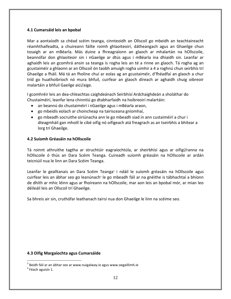#### **4.1 Cumarsáid leis an bpobal**

Mar a aontaíodh sa chéad scéim teanga, cinnteoidh an Ollscoil go mbeidh an teachtaireacht réamhthaifeadta, a chuireann fáilte roimh ghlaoiteoirí, dátheangach agus an Ghaeilge chun tosaigh ar an mBéarla. Más duine a fhreagraíonn an glaoch ar mhalartán na hOllscoile, beannófar don ghlaoiteoir sin i nGaeilge ar dtús agus i mBéarla ina dhiaidh sin. Leanfar ar aghaidh leis an gcomhrá ansin sa teanga is rogha leis an té a rinne an glaoch. Tá rogha ag an gcustaiméir a ghlaonn ar an Ollscoil ón taobh amuigh rogha uimhir a 4 a roghnú chun seirbhís trí Ghaeilge a fháil. Má tá an fholíne chuí ar eolas ag an gcustaiméir, d'fhéadfaí an glaoch a chur tríd go huathoibríoch nó mura bhfuil, cuirfear an glaoch díreach ar aghaidh chuig oibreoir malartáin a bhfuil Gaeilge aici/aige.

I gcomhréir leis an dea-chleachtas caighdeánach Seirbhísí Ardchaighdeán a sholáthar do Chustaiméirí, leanfar lena chinntiú go dtabharfaidh na hoibreoirí malartáin:

- an beannú do chustaiméirí i nGaeilge agus i mBéarla araon,
- go mbeidís eolach ar choincheap na tairisceana gníomhaí,
- go mbeadh socruithe oiriúnacha ann le go mbeadh siad in ann custaiméirí a chur i dteagmháil gan mhoill le cibé oifig nó oifigeach atá freagrach as an tseirbhís a bhítear a lorg trí Ghaeilge.

#### **4.2 Suíomh Gréasáin na hOllscoile**

Tá roinnt athruithe tagtha ar struchtúir eagraíochtúla, ar sheirbhísí agus ar oifigí/ranna na hOllscoile ó thús an Dara Scéim Teanga. Cuireadh suíomh gréasáin na hOllscoile ar ardán teicniúil nua le linn an Dara Scéim Teanga.

Leanfar le gealltanais an Dara Scéim Teanga<sup>3</sup> i ndáil le suíomh gréasáin na hOllscoile agus cuirfear leis an ábhar seo go leanúnach<sup>4</sup> le go mbeadh fáil ar na gnéithe is tábhachtaí a bhíonn de dhíth ar mhic léinn agus ar fhoireann na hOllscoile, mar aon leis an bpobal mór, ar mian leo déileáil leis an Ollscoil trí Ghaeilge.

Sa bhreis air sin, cruthófar leathanach tairsí nua don Ghaeilge le linn na scéime seo.

#### **4.3 Oifig Margaíochta agus Cumarsáide**

<u>.</u>

 $3$  Beidh fáil ar an ábhar seo ar www.nuigalway.ie agus www.oegaillimh.ie

<sup>&</sup>lt;sup>4</sup> Féach aguisín 1.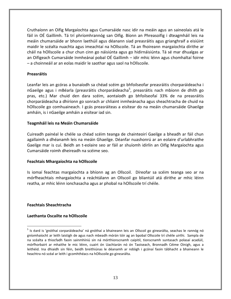Cruthaíonn an Oifig Margaíochta agus Cumarsáide nasc idir na meáin agus an saineolais atá le fáil in OÉ Gaillimh. Tá trí phríomhrannóg san Oifig. Bíonn an Phreasoifig i dteagmháil leis na meáin chumarsáide ar bhonn laethúil agus déanann siad preasráitis agus grianghraif a eisiúint maidir le scéalta nuachta agus imeachtaí na hOllscoile. Tá an fhoireann margaíochta dírithe ar cháil na hOllscoile a chur chun cinn go náisiúnta agus go hidirnáisiúnta. Tá sé mar dhualgas ar an Oifigeach Cumarsáide Inmheánaí pobal OÉ Gaillimh – idir mhic léinn agus chomhaltaí foirne – a choinneáil ar an eolas maidir le saothar agus saol na hOllscoile.

#### **Preasráitis**

Leanfar leis an gcóras a bunaíodh sa chéad scéim go bhfoilseofar preasráitis chorparáideacha i nGaeilge agus i mBéarla (preasráitis chorparáideacha<sup>5</sup>, preasráitis nach mbíonn de dhíth go pras, etc.) Mar chuid den dara scéim, aontaíodh go bhfoilseofaí 33% de na preasráitis chorparáideacha a dhíríonn go sonrach ar chliaint inmheánacha agus sheachtracha de chuid na hOllscoile go comhuaineach. I gcás preasráiteas a eisítear do na meáin chumarsáide Ghaeilge amháin, is i nGaeilge amháin a eisítear iad sin.

#### **Teagmháil leis na Meáin Chumarsáide**

Cuireadh painéal le chéile sa chéad scéim teanga de chainteoirí Gaeilge a bheadh ar fáil chun agallaimh a dhéanamh leis na meáin Ghaeilge. Déanfar nuashonrú ar an eolaire d'urlabhraithe Gaeilge mar is cuí. Beidh an t-eolaire seo ar fáil ar shuíomh idirlín an Oifig Margaíochta agus Cumarsáide roimh dheireadh na scéime seo.

#### **Feachtais Mhargaíochta na hOllscoile**

Is iomaí feachtas margaíochta a bhíonn ag an Ollscoil. Díreofar sa scéim teanga seo ar na mórfheachtais mhargaíochta a reáchtálann an Ollscoil go bliantúil atá dírithe ar mhic léinn reatha, ar mhic léinn ionchasacha agus ar phobal na hOllscoile trí chéile.

#### **Feachtais Sheachtracha**

<u>.</u>

#### **Laethanta Oscailte na hOllscoile**

<sup>&</sup>lt;sup>5</sup> Is éard is 'gnóthaí corparáideacha' ná gnóthaí a bhaineann leis an Ollscoil go ginearálta, seachas le rannóg nó gníomhaíocht ar leith laistigh de agus nach mbeadh mórán tóir ag an bpobal Ollscoile trí chéile uirthi. Sampla de na scéalta a thiocfadh faoin sainmhíniú sin ná mórthionscnamh caipitil, tionscnamh suntasach polasaí acadúil, mórfhorbairt ar mhaithe le mic léinn, cuairt ón Uachtarán nó ón Taoiseach, Bronnadh Céime Oinigh, agus a leithéid. Ina dhiaidh sin féin, beidh breithiúnas le déanamh ar ndóigh i gcónaí faoin tábhacht a bhaineann le heachtra nó scéal ar leith i gcomhthéacs na hOllscoile go ginearálta.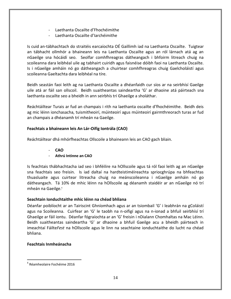- Laethanta Oscailte d'Fhochéimithe
- Laethanta Oscailte d'Iarchéimithe

Is cuid an-tábhachtach do straitéis earcaíochta OÉ Gaillimh iad na Laethanta Oscailte. Tuigtear an tábhacht ollmhór a bhaineann leis na Laethanta Oscailte agus an ról lárnach atá ag an nGaeilge sna hócáidí seo. Seolfar comhfhreagras dátheangach i bhfoirm litreach chuig na scoileanna dara leibhéal uile ag tabhairt cuiridh agus faisnéise dóibh faoi na Laethanta Oscailte. Is i nGaeilge amháin nó go dátheangach a chuirtear comhfhreagras chuig Gaelcholáistí agus scoileanna Gaeltachta dara leibhéal na tíre.

Beidh seastán faoi leith ag na Laethanta Oscailte a dhéanfaidh cur síos ar na seirbhísí Gaeilge uile atá ar fáil san ollscoil. Beidh suaitheantas saindeartha 'G' ar dhaoine atá páirteach sna laethanta oscailte seo a bheidh in ann seirbhís trí Ghaeilge a sholáthar.

Reáchtáiltear Turais ar fud an champais i rith na laethanta oscailte d'fhochéimithe. Beidh deis ag mic léinn ionchasacha, tuismitheoirí, múinteoirí agus múinteoirí gairmthreorach turas ar fud an champais a dhéanamh trí mheán na Gaeilge.

## **Feachtais a bhaineann leis An Lár-Oifig Iontrála (CAO)**

Reáchtáiltear dhá mhórfheachtas Ollscoile a bhaineann leis an CAO gach bliain.

- **CAO**
- **Athrú Intinne an CAO**

Is feachtais thábhachtacha iad seo i bhféilire na hOllscoile agus tá ról faoi leith ag an nGaeilge sna feachtais seo freisin. Is iad daltaí na hardteistiméireachta spriocghrúpa na bhfeachtas thuasluaite agus cuirtear litreacha chuig na meánscoileanna i nGaeilge amháin nó go dátheangach. Tá 10% de mhic léinn na hOllscoile ag déanamh staidéir ar an nGaeilge nó trí mheán na Gaeilge.<sup>6</sup>

## **Seachtain Ionduchtaithe mhic léinn na chéad bhliana**

Déanfar poiblíocht ar an Tairiscint Ghníomhach agus ar an tsiombail 'G' i leabhrán na gColáistí agus na Scoileanna. Cuirfear an 'G' le taobh na n-oifigí agus na n-ionad a bhfuil seirbhísí trí Ghaeilge ar fáil iontu. Déanfar fógraíochta ar an 'G' freisin i nDialann Chomhaltas na Mac Léinn. Beidh suaitheantas saindeartha 'G' ar dhaoine a bhfuil Gaeilge acu a bheidh páirteach in imeachtaí Fáilte*Fest* na hOllscoile agus le linn na seachtaine ionduchtaithe do lucht na chéad bhliana.

## **Feachtais Inmheánacha**

1

<sup>6</sup> Réamheolaire Fochéime 2016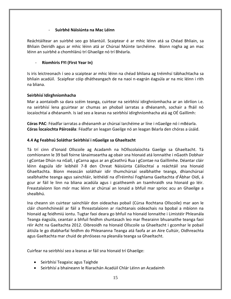#### - **Suirbhé Náisiúnta na Mac Léinn**

Reáchtáiltear an suirbhé seo go bliantúil. Scaiptear é ar mhic léinn atá sa Chéad Bhliain, sa Bhliain Deiridh agus ar mhic léinn atá ar Chúrsaí Múinte Iarchéime. Bíonn rogha ag an mac léinn an suirbhé a chomhlánú trí Ghaeilge nó trí Bhéarla.

#### - **Ríomhiris FYI (First Year In)**

Is iris leictreonach í seo a scaiptear ar mhic léinn na chéad bhliana ag tréimhsí tábhachtacha sa bhliain acadúil. Scaipfear cóip dhátheangach de na naoi n-eagrán éagsúla ar na mic léinn i rith na bliana.

#### **[Seirbhísí Idirghníomhacha](http://www.ahg.gov.ie/ie/AnGhaeilge/AchtnadTeangachaOifigiula2003/FileLinks/Seirbhísí%20Idirghníomhacha.pdf)**

Mar a aontaíodh sa dara scéim teanga, cuirtear na seirbhísí idirghníomhacha ar an idirlíon i.e. na seirbhísí lena gcuirtear ar chumas an phobail iarratas a dhéanamh, sochair a fháil nó íocaíochtaí a dhéanamh. Is iad seo a leanas na seirbhísí idirghníomhacha atá ag OÉ Gaillimh:

<span id="page-14-0"></span>**Córas PAC**: Féadfar iarratas a dhéanamh ar chúrsaí Iarchéime ar líne i nGaeilge nó i mBéarla. **Córas Íocaíochta Páirceála**: Féadfar an leagan Gaeilge nó an leagan Béarla den chóras a úsáid.

#### **4.4 Ag Feabhsú Soláthar Seirbhísí i nGaeilge sa Ghaeltacht**

Tá trí cinn d'Ionaid Ollscoile ag Acadamh na hOllscolaíochta Gaeilge sa Ghaeltacht. Tá comhionann le 39 ball foirne lánaimseartha ag obair sna hIonaid atá lonnaithe i nGaoth Dobhair i gContae Dhún na nGall, i gCarna agus ar an gCeathrú Rua i gContae na Gaillimhe. Déantar cláir léinn éagsúla idir leibhéil 7-8 den Chreat Náisiúnta Cáilíochtaí a reáchtáil sna hIonaid Ghaeltachta. Bíonn meascán soláthair idir thumchúrsaí sealbhaithe teanga, dhianchúrsaí sealbhaithe teanga agus sainchláir, leithéidí na dTréimhsí Foghlama Gaeltachta d'Ábhar Oidí, á gcur ar fáil le linn na bliana acadúla agus i gcaitheamh an tsamhraidh sna hIonaid go léir. Freastalaíonn líon mór mac léinn ar chúrsaí an Ionaid a bhfuil mar sprioc acu an Ghaeilge a shealbhú.

Ina cheann sin cuirtear sainchláir don oideachas pobail (Cúrsa Rochtana Ollscoile) mar aon le cláir chomhchineáil ar fáil a fhreastalaíonn ar riachtanais oideachais na bpobal a mbíonn na hIonaid ag feidhmiú iontu. Tugtar faoi deara go bhfuil na hIonaid lonnaithe i Limistéir Phleanála Teanga éagsúla, ceantair a bhfuil feidhm shuntasach leo mar fhearainn bhuanaithe teanga faoi réir Acht na Gaeltachta 2012. Oibreoidh na hIonaid Ollscoile sa Ghaeltacht i gcomhar le pobail áitiúla le go dtabharfaí feidhm do Phleananna Teanga atá faofa ar an Aire Cultúir, Oidhreachta agus Gaeltachta mar chuid de phróiseas na pleanála teanga sa Ghaeltacht.

Cuirfear na seirbhísí seo a leanas ar fáil sna hIonaid trí Ghaeilge:

- Seirbhísí Teagaisc agus Taighde
- Seirbhísí a bhaineann le Riarachán Acadúil Chlár Léinn an Acadaimh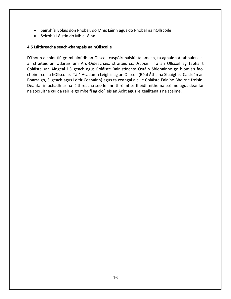- Seirbhísí Eolais don Phobal, do Mhic Léinn agus do Phobal na hOllscoile
- Seirbhís Lóistín do Mhic Léinn

#### **4.5 Láithreacha seach-champais na hOllscoile**

D'fhonn a chinntiú go mbainfidh an Ollscoil cuspóirí náisiúnta amach, tá aghaidh á tabhairt aici ar straitéis an Údaráis um Ard-Oideachais, straitéis *Landscape*. Tá an Ollscoil ag tabhairt Coláiste san Aingeal i Sligeach agus Coláiste Bainistíochta Óstáin Shionainne go hiomlán faoi choimirce na hOllscoile. Tá 4 Acadamh Leighis ag an Ollscoil (Béal Átha na Sluaighe, Caisleán an Bharraigh, Sligeach agus Leitir Ceanainn) agus tá ceangal aici le Coláiste Ealaíne Bhoirne freisin. Déanfar iniúchadh ar na láithreacha seo le linn thréimhse fheidhmithe na scéime agus déanfar na socruithe cuí dá réir le go mbeifí ag cloí leis an Acht agus le gealltanais na scéime.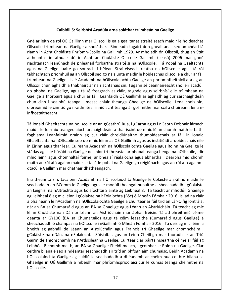#### **Caibidil 5: Seirbhísí Acadúla arna soláthar trí mheán na Gaeilge**

Gné ar leith de ról OÉ Gaillimh mar Ollscoil is ea a gealltanas straitéiseach maidir le hoideachas Ollscoile trí mheán na Gaeilge a sholáthar. Rinneadh tagairt don ghealltanas seo an chéad lá riamh in Acht Choláiste Phríomh-Scoile na Gaillimh 1929. Ar mholadh ón Ollscoil, thug an Stát aitheantas in athuair dó in Acht an Choláiste Ollscoile Gaillimh (Leasú) 2006 mar ghné riachtanach leanúnach de phleanáil forbartha straitéisí na hOllscoile. Tá Pobal na Gaeltachta agus na Gaeilge luaite go sonrach i bPlean Straitéiseach reatha na hOllscoile agus tá ról tábhachtach príomhúil ag an Ollscoil seo go náisiúnta maidir le hoideachas ollscoile a chur ar fáil trí mheán na Gaeilge. Is é Acadamh na hOllscolaíochta Gaeilge an phríomhfheithicil atá ag an Ollscoil chun aghaidh a thabhairt ar na riachtanais sin. Tugann sé ceannaireacht shoiléir acadúil do phobal na Gaeilge, agus tá sé freagrach as cláir, taighde agus seirbhísí eile trí mheán na Gaeilge a fhorbairt agus a chur ar fáil. Leanfaidh OÉ Gaillimh ar aghaidh ag cur sárchaighdeán chun cinn i sealbhú teanga i measc chláir theanga Ghaeilge na hOllscoile. Lena chois sin, oibreoimid le cinntiú go n-aithnítear inniúlacht teanga ár gcéimithe mar scil a chuireann lena ninfhostaitheacht.

Tá ionaid Ghaeltachta na hollscoile ar an gCeathrú Rua, i gCarna agus i nGaoth Dobhair lárnach maidir le foirmiú teangeolaíoch archaighdeáin a thairiscint do mhic léinn chomh maith le taithí foghlama Leanfaimid orainn ag cur cláir chreidiúnaithe thumoideachais ar fáil in ionaid Ghaeltachta na hOllscoile seo do mhic léinn as OÉ Gaillimh agus as institiúidí ardoideachais eile in Éirinn agus thar lear. Cuireann Acadamh na hOllscolaíochta Gaeilge agus Roinn na Gaeilge le stádas agus le húsáid na Gaeilge de shíor trí fhreastal ar phobal teanga beoga na hOllscoile, idir mhic léinn agus chomhaltaí foirne, ar bhealaí réalaíocha agus ábhartha. Dearbhaímid chomh maith an ról atá againn maidir le tacú le pobal na Gaeilge go réigiúnach agus an ról atá againn i dtacú le Gaillimh mar chathair dhátheangach.

Ina theannta sin, tacaíonn Acadamh na hOllscolaíochta Gaeilge le Coláiste an Ghnó maidir le seachadadh an BComm le Gaeilge agus le modúil theangabhunaithe a sheachadadh i gColáiste an Leighis, na hAltrachta agus Eolaíochtaí Sláinte ag Leibhéal 8. Tá teacht ar mhodúil Ghaeilge ag Leibhéal 8 ag mic léinn i gColáiste na hEolaíochta (BSc) ó Mheán Fómhair 2016. Is iad na cláir a bhaineann le hAcadamh na hOllscolaíochta Gaeilge a chuirtear ar fáil tríd an Lár-Oifig Iontrála, ná: an BA sa Chumarsáid agus an BA sa Ghaeilge agus Léann an Aistriúcháin. Tá teacht ag mic léinn Choláiste na nDán ar Léann an Aistriúcháin mar ábhar freisin. Tá athbhreithniú céime déanta ar GY106 (BA sa Chumarsáid) agus tá céim leasaithe (Cumarsáid agus Gaeilge) á sheachadadh ó champas na hOllscoile i nGaillimh ó Mheán Fómhair 2016. Tá deis ag mic léinn a bheith ag gabháil de Léann an Aistriúcháin agus Fraincis trí Ghaeilge mar chomhchéim i gColáiste na nDán, na nEolaíochtaí Sóisialta agus an Léinn Cheiltigh mar thoradh ar an Tríú Gairm de Thionscnamh na nArdscileanna Gaeilge. Cuirtear clár páirtaimseartha céime ar fáil ag Leibhéal 8 chomh maith, an BA sa Ghaeilge Fheidhmeach, i gcomhar le Roinn na Gaeilge. Clár ceithre bliana é seo a ndéantar seachadadh air tríd an bhfoghlaim chumaisc. Beidh Acadamh na hOllscolaíochta Gaeilge ag cuidiú le seachadadh a dhéanamh ar chéim nua ceithre bliana sa Ghaeilge in OÉ Gaillimh a mbeidh mar phríomhsprioc aici cur le cumas teanga chéimithe na hOllscoile.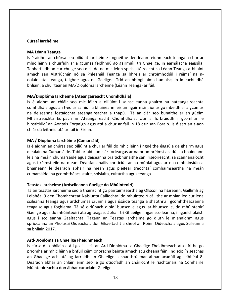#### **Cúrsaí Iarchéime**

#### **MA Léann Teanga**

Is é aidhm an chúrsa seo oiliúint iarchéime i ngnéithe den léann feidhmeach teanga a chur ar mhic léinn a chuirfidh ar a gcumas feidhmiú go gairmiúil trí Ghaeilge, in earnálacha éagsúla. Tabharfaidh an cur chuige seo deis do na mic léinn speisialtóireacht sa Léann Teanga a bhaint amach san Aistriúchán nó sa Phleanáil Teanga sa bhreis ar chroímhodúil i réimsí na neolaíochtaí teanga, taighde agus na Gaeilge. Tríd an bhfoghlaim chumaisc, in imeacht dhá bhliain, a chuirtear an MA/Dioplóma Iarchéime (Léann Teanga) ar fáil.

#### **MA/Dioplóma Iarchéime (Ateangaireacht Chomhdhála)**

Is é aidhm an chláir seo mic léinn a oiliúint i sainscileanna ghairm na hateangaireachta comhdhála agus an t-eolas sainiúil a bhaineann leis an ngairm sin, ionas go mbeidh ar a gcumas na deiseanna fostaíochta ateangaireachta a thapú. Tá an clár seo bunaithe ar an gCéim Mháistreachta Eorpach in Ateangaireacht Chomhdhála, clár a forbraíodh i gcomhar le hinstitiúidí an Aontais Eorpaigh agus atá á chur ar fáil in 18 dtír san Eoraip. Is é seo an t-aon chlár dá leithéid atá ar fáil in Éirinn.

#### **MA / Dioplóma Iarchéime (Cumarsáid)**

Is é aidhm an chúrsa seo oiliúint a chur ar fáil do mhic léinn i ngnéithe éagsúla de ghairm agus d'ealaín na Cumarsáide. Tabharfaidh an clár forléargas ar na príomhréimsí acadúla a bhaineann leis na meáin chumarsáide agus deiseanna praiticbhunaithe san iriseoireacht, sa scannánaíocht agus i réimsí eile na meán. Déanfar anailís chriticiúil ar na múnlaí agus ar na coinbhinsiúin a bhaineann le dearadh ábhair na meán agus pléifear treochtaí comhaimseartha na meán cumarsáide ina gcomhthéacs staire, sóisialta, cultúrtha agus teanga.

#### **Teastas Iarchéime (Ardscileanna Gaeilge do Mhúinteoirí)**

Tá an teastas iarchéime seo á thairiscint go páirtaimseartha ag Ollscoil na hÉireann, Gaillimh ag Leibhéal 9 den Chomhchreat Náisiúnta Cáilíochtaí do mhúinteoirí cáilithe ar mhian leo cur lena scileanna teanga agus ardchumas cruinnis agus úsáide teanga a shaothrú i gcomhthéacsanna teagaisc agus foghlama. Tá sé oiriúnach d'oidí bunscoile agus iar-bhunscoile, do mhúinteoirí Gaeilge agus do mhúinteoirí atá ag teagasc ábhair trí Ghaeilge i ngaelscoileanna, i ngaelcholáistí agus i scoileanna Gaeltachta. Tagann an Teastas Iarchéime go dlúth le mianaidhm agus spriocanna an Pholasaí Oideachais don Ghaeltacht a sheol an Roinn Oideachais agus Scileanna sa bhliain 2017.

#### **Ard-Dioplóma sa Ghaeilge Fheidhmeach**

Is cúrsa dhá bhliain atá i gceist leis an Ard-Dioplóma sa Ghaeilge Fheidhmeach atá dírithe go príomha ar mhic léinn a bhfuil céim onóracha bainte amach acu cheana féin i ndisciplín seachas an Ghaeilge ach atá ag iarraidh an Ghaeilge a shaothrú mar ábhar acadúil ag leibhéal 8. Dearadh ábhar an chláir léinn seo le go dtiocfadh an cháilíocht le riachtanais na Comhairle Múinteoireachta don ábhar curaclaim Gaeilge.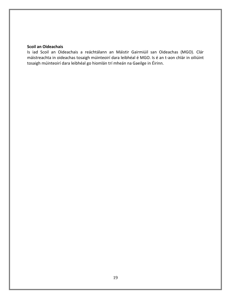#### **Scoil an Oideachais**

<span id="page-18-0"></span>Is iad Scoil an Oideachais a reáchtálann an Máistir Gairmiúil san Oideachas (MGO). Clár máistreachta in oideachas tosaigh múinteoirí dara leibhéal é MGO. Is é an t-aon chlár in oiliúint tosaigh múinteoirí dara leibhéal go hiomlán trí mheán na Gaeilge in Éirinn.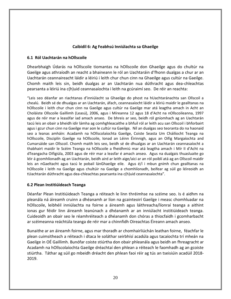#### **Caibidil 6: Ag Feabhsú Inniúlachta sa Ghaeilge**

#### <span id="page-19-0"></span>**6.1 Ról Uachtarán na hOllscoile**

Dhearbhaigh Údarás na hOllscoile tiomantas na hOllscoile don Ghaeilge agus do chultúr na Gaeilge agus athraíodh an reacht a bhaineann le ról an Uachtaráin d'fhonn dualgas a chur ar an Uachtarán ceannaireacht láidir a léiriú i leith chur chun cinn na Ghaeilge agus cultúr na Gaeilge. Chomh maith leis sin, beidh dualgas ar an Uachtarán nua dúthracht agus dea-chleachtas pearsanta a léiriú ina c(h)uid ceannasaíochta i leith na gcúraimí seo. De réir an reachta:

"Leis seo déanfar an riachtanas d'inniúlacht sa Ghaeilge do phost na hUachtaránachta san Ollscoil a chealú. Beidh sé de dhualgas ar an Uachtarán, áfach, ceannasaíocht láidir a léiriú maidir le gealltanas na hOllscoile i leith chur chun cinn na Gaeilge agus cultúr na Gaeilge mar atá leagtha amach in Acht an Choláiste Ollscoile Gaillimh (Leasú), 2006, agus i Míreanna 12 agus 18 d'Acht na nOllscoileanna, 1997 agus de réir mar a leasófar iad amach anseo. De bhreis ar seo, beidh ról gníomhach ag an Uachtarán tacú leis an obair a bheidh idir lámha ag comhghleacaithe a bhfuil ról ar leith acu san Ollscoil i bhforbairt agus i gcur chun cinn na Gaeilge mar aon le cultúr na Gaeilge. Níl an dualgas seo teoranta do na haonaid seo a leanas amháin: Acadamh na hOllscolaíochta Gaeilge, Coiste Seasta Um Cháilíocht Teanga na hOllscoile, Disciplín Gaeilge na hOllscoile, Ionad an Léinn Éirinnigh, agus an Oifig Margaíochta and Cumarsáide san Ollscoil. Chomh maith leis seo, beidh sé de dhualgas ar an Uachtarán ceannasaíocht a thabhairt maidir le Scéim Teanga na hOllscoile a fheidhmiú mar atá leagtha amach i Mír II d'Acht na dTeangacha Oifigiúla, 2003 agus de réir mar a leasfar é amach anseo. Agus na dualgais thuasluaite go léir á gcomhlíonadh ag an Uachtarán, beidh aird ar leith aige/aici ar an ról poiblí atá ag an Ollscoil maidir leis an nGaeltacht agus tacú le pobail lánGhaeilge eile. Agus é/í i mbun gnímh chun gealltanas na hOllscoile i leith na Gaeilge agus chultúir na Gaeilge a chomhlíonadh, beifear ag súil go léireoidh an tUachtarán dúthracht agus dea-chleachtas pearsanta ina c(h)uid ceannasaíochta".

#### **6.2 Plean Institiúideach Teanga**

Déanfar Plean Institiúideach Teanga a réiteach le linn thréimhse na scéime seo. Is é aidhm na pleanála ná áireamh cruinn a dhéanamh ar líon na gcainteoirí Gaeilge i measc chomhluadar na hOllscoile, leibhéil inniúlachta na foirne a áireamh agus láithreacha/líonraí teanga a aithint ionas gur féidir linn áireamh leanúnach a dhéanamh ar an inniúlacht institiúideach teanga. Cuideoidh an obair seo le réamhréiteach a dhéanamh don chóras a thiocfaidh i gcomharbacht ar scéimeanna reáchtúla teanga de réir mar a chinnfidh Oireachtas Éireann amach anseo.

Bunaithe ar an áireamh foirne, agus mar thoradh ar chomhairliúchán leathan foirne, féachfar le plean cuimsitheach a réiteach i dtaca le soláthar seirbhísí acadúla agus tacaíochta trí mheán na Gaeilge in OÉ Gaillimh. Bunófar coiste stiúrtha don obair phleanála agus beidh an fhreagracht ar Acadamh na hOllscolaíochta Gaeilge dréachtaí den phlean a réiteach le faomhadh ag an gcoiste stiúrtha. Táthar ag súil go mbeidh dréacht den phlean faoi réir ag tús an tseisiúin acadúil 2018- 2019.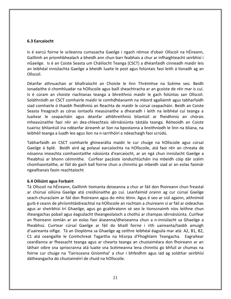#### **6.3 Earcaíocht**

Is é earcú foirne le scileanna cumasacha Gaeilge i ngach réimse d'obair Ollscoil na hÉireann, Gaillimh an príomhbhealach a bheidh ann chun barr feabhais a chur ar infhaighteacht seirbhísí i nGaeilge. Is é an Coiste Seasta um Cháilíocht Teanga (CSCT) a dhéanfaidh cinneadh maidir leis an leibhéal inniúlachta Gaeilge a bheidh luaite le post agus folúntais faoi leith á líonadh ag an Ollscoil.

Déanfar athnuachan ar bhallraíocht an Choiste le linn Thréimhse na Scéime seo. Beidh ionadaithe ó chomhluadar na hOllscoile agus baill sheachtracha ar an gcoiste de réir mar is cuí. Is é cúram an choiste riachtanas teanga a bhreithniú maidir le gach folúntas san Ollscoil. Soláthróidh an CSCT comhairle maidir le comhdhéanamh na mbord agallaimh agus tabharfaidh siad comhairle ó thaobh fheidhmiú an Reachta de maidir le cúrsaí ceapacháin. Beidh an Coiste Seasta freagrach as córas iontaofa measúnaithe a dhearadh i leith na leibhéal cuí teanga a luaitear le ceapacháin agus déanfar athbhreithniú bliantúil ar fheidhmiú an chórais mheasúnaithe faoi réir an dea-chleachtais idirnáisiúnta tástála teanga. Réiteoidh an Coiste tuairisc bhliantúil ina ndéanfar áireamh ar líon na bpostanna a breithníodh le linn na bliana, na leibhéil teanga a luadh leo agus líon na n-iarrthóirí a ndeachaigh faoi scrúdú.

Tabharfaidh an CSCT comhairle ghinearálta maidir le cur chuige na hOllscoile agus cúrsaí Gaeilge á bplé. Beidh aird ag polasaí earcaíochta na hOllscoile, atá faoi réir an chreata de nósanna imeachta comhaontaithe náisiúnta d'earcaíocht, ar an ngá chun inniúlacht Gaeilge a fheabhsú ar bhonn céimnithe. Cuirfear pacáiste ionduchtúcháin ina mbeidh cóip dár scéim chomhaontaithe, ar fáil do gach ball foirne chun a chinntiú go mbeidh siad ar an eolas faoinár ngealltanais faoin reachtaíocht

#### <span id="page-20-0"></span>**6.4 Oiliúint agus Forbairt**

Tá Ollscoil na hÉireann, Gaillimh tiomanta deiseanna a chur ar fáil don fhoireann chun freastal ar chúrsaí oiliúna Gaeilge atá creidiúnaithe go cuí. Leanfaimid orainn ag cur cúrsaí Gaeilge seach-churaclaim ar fáil don fhoireann agus do mhic léinn. Agus é seo ar siúl againn, aithnímid gurb é ceann de phríomhláidreachtaí na hOllscoile an rochtain a chuireann sí ar fáil ar oideachas agus ar sheirbhísí trí Ghaeilge, agus go gcabhraíonn sé seo le tionscnaimh níos leithne chun ilteangachas pobail agus éagsúlacht theangeolaíoch a chothú ar champas idirnáisiúnta. Cuirfear an fhoireann iomlán ar an eolas faoi áiseanna/dheiseanna chun a n-inniúlacht sa Ghaeilge a fheabhsú. Cuirtear cúrsaí Gaeilge ar fáil do bhaill foirne i rith uaireanta/taobh amuigh d'uaireanta oifige. Tá an Dioplóma sa Ghaeilge ag ceithre leibhéal éagsúla mar atá: A2, B1, B2, C1 atá ceangailte le Comhchreat Tagartha na hEorpa d'Fhoghlaim Teangacha. Eagraítear ceardlanna ar fheasacht teanga agus ar chearta teanga an chustaiméara don fhoireann ar an láthair oibre sna spriocranna atá luaite sna Scéimeanna lena chinntiú go bhfuil ar chumas na foirne cur chuige na 'Tairisceana Gníomhaí' a chur i bhfeidhm agus iad ag soláthar seirbhísí dátheangacha do chustaiméirí de chuid na hOllscoile.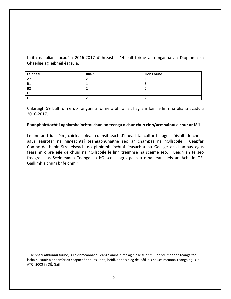I rith na bliana acadúla 2016-2017 d'fhreastail 14 ball foirne ar ranganna an Dioplóma sa Ghaeilge ag leibhéil éagsúla.

| Leibhéal       | <b>Bliain</b> | <b>Líon Foirne</b> |
|----------------|---------------|--------------------|
| A <sub>2</sub> |               |                    |
| <b>B1</b>      |               |                    |
| <b>B2</b>      |               |                    |
| $\mathsf{C}$   |               |                    |
| $\sim$         |               |                    |

Chláraigh 59 ball foirne do ranganna foirne a bhí ar siúl ag am lóin le linn na bliana acadúla 2016-2017.

#### **[Rannpháirtíocht i ngníomhaíochtaí chun an teanga a chur chun cinn/acmhainní a chur ar fáil](http://www.ahg.gov.ie/ie/AnGhaeilge/AchtnadTeangachaOifigiula2003/FileLinks/Gníomhaíochtaí%20cur%20chun%20cinn%20teanga.pdf)**

<span id="page-21-0"></span>Le linn an tríú scéim, cuirfear plean cuimsitheach d'imeachtaí cultúrtha agus sóisialta le chéile agus eagrófar na himeachtaí teangabhunaithe seo ar champas na hOllscoile. Ceapfar Comhordaitheoir Straitéiseach do ghníomhaíochtaí feasachta na Gaeilge ar champas agus fearainn oibre eile de chuid na hOllscoile le linn tréimhse na scéime seo. Beidh an té seo freagrach as Scéimeanna Teanga na hOllscoile agus gach a mbaineann leis an Acht in OÉ, Gaillimh a chur i bhfeidhm.<sup>7</sup>

 7 De bharr athlonnú foirne, is Feidhmeannach Teanga amháin atá ag plé le feidhmiú na scéimeanna teanga faoi láthair. Nuair a dhéanfar an ceapachán thuasluaite, beidh an té sin ag déileáil leis na Scéimeanna Teanga agus le ATO, 2003 in OÉ, Gaillimh.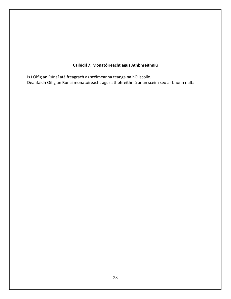## **Caibidil 7: Monatóireacht agus Athbhreithniú**

<span id="page-22-0"></span>Is í Oifig an Rúnaí atá freagrach as scéimeanna teanga na hOllscoile. Déanfaidh Oifig an Rúnaí monatóireacht agus athbhreithniú ar an scéim seo ar bhonn rialta.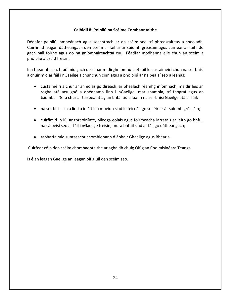#### **Caibidil 8: Poibliú na Scéime Comhaontaithe**

Déanfar poibliú inmheánach agus seachtrach ar an scéim seo trí phreasráiteas a sheoladh. Cuirfimid leagan dátheangach den scéim ar fáil ar ár suíomh gréasáin agus cuirfear ar fáil í do gach ball foirne agus do na gníomhaireachtaí cuí. Féadfar modhanna eile chun an scéim a phoibliú a úsáid freisin.

Ina theannta sin, tapóimid gach deis inár n-idirghníomhú laethúil le custaiméirí chun na seirbhísí a chuirimid ar fáil i nGaeilge a chur chun cinn agus a phoibliú ar na bealaí seo a leanas:

- custaiméirí a chur ar an eolas go díreach, ar bhealach réamhghníomhach, maidir leis an rogha atá acu gnó a dhéanamh linn i nGaeilge, mar shampla, trí fhógraí agus an tsiombail 'G' a chur ar taispeáint ag an bhfáiltiú a luann na seirbhísí Gaeilge atá ar fáil;
- na seirbhísí sin a liostú in áit ina mbeidh siad le feiceáil go soiléir ar ár suíomh gréasáin;
- cuirfimid in iúl ar threoirlínte, bileoga eolais agus foirmeacha iarratais ar leith go bhfuil na cáipéisí seo ar fáil i nGaeilge freisin, mura bhfuil siad ar fáil go dátheangach;
- tabharfaimid suntasacht chomhionann d'ábhair Ghaeilge agus Bhéarla.

Cuirfear cóip den scéim chomhaontaithe ar aghaidh chuig Oifig an Choimisinéara Teanga.

Is é an leagan Gaeilge an leagan oifigiúil den scéim seo.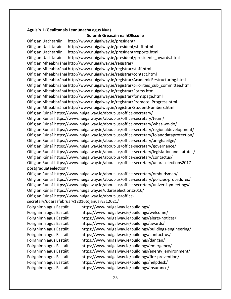#### **Aguisín 1 (Gealltanais Leanúnacha agus Nua)**

**Suíomh Gréasáin na hOllscoile** Oifig an Uachtaráin http://www.nuigalway.ie/president/ Oifig an Uachtaráin http://www.nuigalway.ie/president/staff.html Oifig an Uachtaráin http://www.nuigalway.ie/president/reports.html Oifig an Uachtaráin http://www.nuigalway.ie/president/presidents\_awards.html Oifig an Mheabhránaí http://www.nuigalway.ie/registrar/ Oifig an Mheabhránaí http://www.nuigalway.ie/registrar/staff.html Oifig an Mheabhránaí http://www.nuigalway.ie/registrar/contact.html Oifig an Mheabhránaí http://www.nuigalway.ie/registrar/AcademicRestructuring.html Oifig an Mheabhránaí http://www.nuigalway.ie/registrar/priorities\_sub\_committee.html Oifig an Mheabhránaí http://www.nuigalway.ie/registrar/Forms.html Oifig an Mheabhránaí http://www.nuigalway.ie/registrar/formspage.html Oifig an Mheabhránaí http://www.nuigalway.ie/registrar/Promote\_Progress.html Oifig an Mheabhránaí http://www.nuigalway.ie/registrar/StudentNumbers.html Oifig an Rúnaí https://www.nuigalway.ie/about-us/office-secretary/ Oifig an Rúnaí https://www.nuigalway.ie/about-us/office-secretary/team/ Oifig an Rúnaí https://www.nuigalway.ie/about-us/office-secretary/what-we-do/ Oifig an Rúnaí https://www.nuigalway.ie/about-us/office-secretary/regionaldevelopment/ Oifig an Rúnaí https://www.nuigalway.ie/about-us/office-secretary/foianddataprotection/ Oifig an Rúnaí https://www.nuigalway.ie/about-us/office-secretary/an-ghaeilge/ Oifig an Rúnaí https://www.nuigalway.ie/about-us/office-secretary/governance/ Oifig an Rúnaí https://www.nuigalway.ie/about-us/office-secretary/legislationandstatutes/ Oifig an Rúnaí https://www.nuigalway.ie/about-us/office-secretary/contactus/ Oifig an Rúnaí https://www.nuigalway.ie/about-us/office-secretary/udaraselections2017 postgraduateelection/ Oifig an Rúnaí https://www.nuigalway.ie/about-us/office-secretary/ombudsman/ Oifig an Rúnaí https://www.nuigalway.ie/about-us/office-secretary/policies-procedures/ Oifig an Rúnaí https://www.nuigalway.ie/about-us/office-secretary/universitymeetings/ Oifig an Rúnaí https://www.nuigalway.ie/udaraselections2016/ Oifig an Rúnaí https://www.nuigalway.ie/about-us/officesecretary/udarasfebruary12016tojanuary312021/ Foirgnimh agus Eastáit https://www.nuigalway.ie/buildings/ Foirgnimh agus Eastáit https://www.nuigalway.ie/buildings/welcome/ Foirgnimh agus Eastáit https://www.nuigalway.ie/buildings/alerts-notices/ Foirgnimh agus Eastáit https://www.nuigalway.ie/buildings/awards/ Foirgnimh agus Eastáit https://www.nuigalway.ie/buildings/buildings-engineering/ Foirgnimh agus Eastáit https://www.nuigalway.ie/buildings/contact-us/ Foirgnimh agus Eastáit https://www.nuigalway.ie/buildings/dangan/ Foirgnimh agus Eastáit https://www.nuigalway.ie/buildings/emergency/ Foirgnimh agus Eastáit https://www.nuigalway.ie/buildings/energy\_environment/ Foirgnimh agus Eastáit https://www.nuigalway.ie/buildings/fire-prevention/ Foirgnimh agus Eastáit https://www.nuigalway.ie/buildings/helpdesk/ Foirgnimh agus Eastáit https://www.nuigalway.ie/buildings/insurance/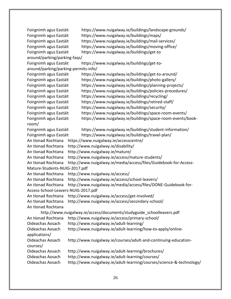Foirgnimh agus Eastáit https://www.nuigalway.ie/buildings/landscape-grounds/ Foirgnimh agus Eastáit https://www.nuigalway.ie/buildings/maps/ Foirgnimh agus Eastáit https://www.nuigalway.ie/buildings/mail-services/ Foirgnimh agus Eastáit https://www.nuigalway.ie/buildings/moving-office/ Foirgnimh agus Eastáit https://www.nuigalway.ie/buildings/get-to around/parking/parking-faqs/ Foirgnimh agus Eastáit https://www.nuigalway.ie/buildings/get-toaround/parking/parking-permits-info/ Foirgnimh agus Eastáit https://www.nuigalway.ie/buildings/get-to-around/ Foirgnimh agus Eastáit https://www.nuigalway.ie/buildings/photo-gallery/ Foirgnimh agus Eastáit https://www.nuigalway.ie/buildings/planning-projects/ Foirgnimh agus Eastáit https://www.nuigalway.ie/buildings/policies-procedures/ Foirgnimh agus Eastáit https://www.nuigalway.ie/buildings/recycling/ Foirgnimh agus Eastáit https://www.nuigalway.ie/buildings/retired-staff/ Foirgnimh agus Eastáit https://www.nuigalway.ie/buildings/security/ Foirgnimh agus Eastáit https://www.nuigalway.ie/buildings/space-room-events/ Foirgnimh agus Eastáit https://www.nuigalway.ie/buildings/space-room-events/bookroom/ Foirgnimh agus Eastáit https://www.nuigalway.ie/buildings/student-information/ Foirgnimh agus Eastáit https://www.nuigalway.ie/buildings/travel-plan/ An tIonad Rochtana https://www.nuigalway.ie/accesscentre/ An tIonad Rochtana http://www.nuigalway.ie/disability/ An tIonad Rochtana http://www.nuigalway.ie/mature/ An tIonad Rochtana http://www.nuigalway.ie/access/mature-students/ An tIonad Rochtana http://www.nuigalway.ie/media/access/files/Guidebook-for-Access-Mature-Students-NUIG-2017.pdf An tIonad Rochtana http://www.nuigalway.ie/access/ An tIonad Rochtana http://www.nuigalway.ie/access/school-leavers/ An tIonad Rochtana http://www.nuigalway.ie/media/access/files/DONE-Guidebook-for-Access-School-Leavers-NUIG-2017.pdf An tIonad Rochtana http://www.nuigalway.ie/access/get-involved/ An tIonad Rochtana http://www.nuigalway.ie/access/secondary-school/ An tIonad Rochtana http://www.nuigalway.ie/access/documents/studyguide\_schoolleavers.pdf An tIonad Rochtana http://www.nuigalway.ie/access/primary-school/ Oideachas Aosach http://www.nuigalway.ie/adult-learning/ Oideachas Aosach http://www.nuigalway.ie/adult-learning/how-to-apply/onlineapplications/ Oideachas Aosach http://www.nuigalway.ie/courses/adult-and-continuing-educationcourses/ Oideachas Aosach http://www.nuigalway.ie/adult-learning/brochures/ Oideachas Aosach http://www.nuigalway.ie/adult-learning/courses/ Oideachas Aosach http://www.nuigalway.ie/adult-learning/courses/science-&-technology/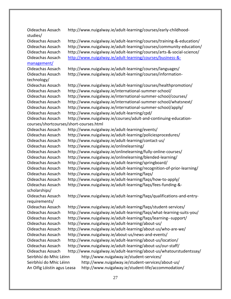Oideachas Aosach http://www.nuigalway.ie/adult-learning/courses/early-childhoodstudies/ Oideachas Aosach http://www.nuigalway.ie/adult-learning/courses/training-&-education/ Oideachas Aosach http://www.nuigalway.ie/adult-learning/courses/community-education/ Oideachas Aosach http://www.nuigalway.ie/adult-learning/courses/arts-&-social-science/ Oideachas Aosach [http://www.nuigalway.ie/adult-learning/courses/business-&](http://www.nuigalway.ie/adult-learning/courses/business-&-management/) [management/](http://www.nuigalway.ie/adult-learning/courses/business-&-management/) Oideachas Aosach http://www.nuigalway.ie/adult-learning/courses/languages/ Oideachas Aosach http://www.nuigalway.ie/adult-learning/courses/informationtechnology/ Oideachas Aosach http://www.nuigalway.ie/adult-learning/courses/healthpromotion/ Oideachas Aosach http://www.nuigalway.ie/international-summer-school/ Oideachas Aosach http://www.nuigalway.ie/international-summer-school/courses/ Oideachas Aosach http://www.nuigalway.ie/international-summer-school/whatsnext/ Oideachas Aosach http://www.nuigalway.ie/international-summer-school/apply/ Oideachas Aosach http://www.nuigalway.ie/adult-learning/cpd/ Oideachas Aosach http://www.nuigalway.ie/courses/adult-and-continuing-educationcourses/shortcourses/short-courses.html Oideachas Aosach http://www.nuigalway.ie/adult-learning/events/ Oideachas Aosach http://www.nuigalway.ie/adult-learning/policiesprocedures/ Oideachas Aosach http://www.nuigalway.ie/adult-learning/contact-us/ Oideachas Aosach http://www.nuigalway.ie/onlinelearning/ Oideachas Aosach http://www.nuigalway.ie/onlinelearning/fully-online-courses/ Oideachas Aosach http://www.nuigalway.ie/onlinelearning/blended-learning/ Oideachas Aosach http://www.nuigalway.ie/adult-learning/springboard/ Oideachas Aosach http://www.nuigalway.ie/adult-learning/recognition-of-prior-learning/ Oideachas Aosach http://www.nuigalway.ie/adult-learning/faqs/ Oideachas Aosach http://www.nuigalway.ie/adult-learning/faqs/how-to-apply/ Oideachas Aosach http://www.nuigalway.ie/adult-learning/faqs/fees-funding-& scholarships/ Oideachas Aosach http://www.nuigalway.ie/adult-learning/faqs/qualifications-and-entryrequirements/ Oideachas Aosach http://www.nuigalway.ie/adult-learning/faqs/student-services/ Oideachas Aosach http://www.nuigalway.ie/adult-learning/faqs/what-learning-suits-you/ Oideachas Aosach http://www.nuigalway.ie/adult-learning/faqs/learning--support/ Oideachas Aosach http://www.nuigalway.ie/adult-learning/about-us/ Oideachas Aosach http://www.nuigalway.ie/adult-learning/about-us/who-are-we/ Oideachas Aosach http://www.nuigalway.ie/about-us/news-and-events/ Oideachas Aosach http://www.nuigalway.ie/adult-learning/about-us/location/ Oideachas Aosach http://www.nuigalway.ie/adult-learning/about-us/our-staff/ Oideachas Aosach http://www.nuigalway.ie/adult-learning/about-us/whatourstudentssay/ Seirbhísí do Mhic Léinn http://www.nuigalway.ie/student-services/ Seirbhísí do Mhic Léinn http://www.nuigalway.ie/student-services/about-us/ An Oifig Lóistín agus Leasa http://www.nuigalway.ie/student-life/accommodation/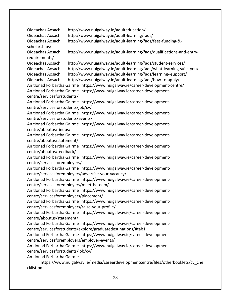Oideachas Aosach http://www.nuigalway.ie/adulteducation/ Oideachas Aosach http://www.nuigalway.ie/adult-learning/faqs/ Oideachas Aosach http://www.nuigalway.ie/adult-learning/faqs/fees-funding-& scholarships/ Oideachas Aosach http://www.nuigalway.ie/adult-learning/faqs/qualifications-and-entryrequirements/ Oideachas Aosach http://www.nuigalway.ie/adult-learning/faqs/student-services/ Oideachas Aosach http://www.nuigalway.ie/adult-learning/faqs/what-learning-suits-you/ Oideachas Aosach http://www.nuigalway.ie/adult-learning/faqs/learning--support/ Oideachas Aosach http://www.nuigalway.ie/adult-learning/faqs/how-to-apply/ An tIonad Forbartha Gairme https://www.nuigalway.ie/career-development-centre/ An tIonad Forbartha Gairme https://www.nuigalway.ie/career-developmentcentre/servicesforstudents/ An tIonad Forbartha Gairme https://www.nuigalway.ie/career-developmentcentre/servicesforstudents/job/cv/ An tIonad Forbartha Gairme https://www.nuigalway.ie/career-developmentcentre/servicesforstudents/events/ An tIonad Forbartha Gairme https://www.nuigalway.ie/career-developmentcentre/aboutus/findus/ An tIonad Forbartha Gairme https://www.nuigalway.ie/career-developmentcentre/aboutus/statement/ An tIonad Forbartha Gairme https://www.nuigalway.ie/career-developmentcentre/aboutus/feedback/ An tIonad Forbartha Gairme https://www.nuigalway.ie/career-developmentcentre/servicesforemployers/ An tIonad Forbartha Gairme https://www.nuigalway.ie/career-developmentcentre/servicesforemployers/advertise-your-vacancy/ An tIonad Forbartha Gairme https://www.nuigalway.ie/career-developmentcentre/servicesforemployers/meettheteam/ An tIonad Forbartha Gairme https://www.nuigalway.ie/career-developmentcentre/servicesforemployers/placement/ An tIonad Forbartha Gairme https://www.nuigalway.ie/career-developmentcentre/servicesforemployers/raise-your-profile/ An tIonad Forbartha Gairme https://www.nuigalway.ie/career-developmentcentre/aboutus/statement/ An tIonad Forbartha Gairme https://www.nuigalway.ie/career-developmentcentre/servicesforstudents/explore/graduatedestinations/#tab1 An tIonad Forbartha Gairme https://www.nuigalway.ie/career-developmentcentre/servicesforemployers/employer-events/ An tIonad Forbartha Gairme https://www.nuigalway.ie/career-developmentcentre/servicesforstudents/job/cv/ An tIonad Forbartha Gairme https://www.nuigalway.ie/media/careerdevelopmentcentre/files/otherbooklets/cv\_che cklist.pdf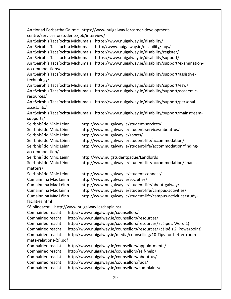An tIonad Forbartha Gairme https://www.nuigalway.ie/career-developmentcentre/servicesforstudents/job/interview/ An tSeirbhís Tacaíochta Míchumais https://www.nuigalway.ie/disability/ An tSeirbhís Tacaíochta Míchumais http://www.nuigalway.ie/disability/faqs/ An tSeirbhís Tacaíochta Míchumais https://www.nuigalway.ie/disability/register/ An tSeirbhís Tacaíochta Míchumais https://www.nuigalway.ie/disability/support/ An tSeirbhís Tacaíochta Míchumais https://www.nuigalway.ie/disability/support/examinationaccommodations/ An tSeirbhís Tacaíochta Míchumais https://www.nuigalway.ie/disability/support/assistivetechnology/ An tSeirbhís Tacaíochta Míchumais https://www.nuigalway.ie/disability/support/esw/ An tSeirbhís Tacaíochta Míchumais https://www.nuigalway.ie/disability/support/academicresources/ An tSeirbhís Tacaíochta Míchumais https://www.nuigalway.ie/disability/support/personalassistants/ An tSeirbhís Tacaíochta Míchumais https://www.nuigalway.ie/disability/support/mainstreamsupports/ Seirbhísí do Mhic Léinn http://www.nuigalway.ie/student-services/ Seirbhísí do Mhic Léinn http://www.nuigalway.ie/student-services/about-us/ Seirbhísí do Mhic Léinn http://www.nuigalway.ie/sports/ Seirbhísí do Mhic Léinn http://www.nuigalway.ie/student-life/accommodation/ Seirbhísí do Mhic Léinn http://www.nuigalway.ie/student-life/accommodation/findingaccommodation/ Seirbhísí do Mhic Léinn http://www.nuigstudentpad.ie/Landlords Seirbhísí do Mhic Léinn http://www.nuigalway.ie/student-life/accommodation/financialmatters/ Seirbhísí do Mhic Léinn http://www.nuigalway.ie/student-connect/ Cumainn na Mac Léinn http://www.nuigalway.ie/societies/ Cumainn na Mac Léinn http://www.nuigalway.ie/student-life/about-galway/ Cumainn na Mac Léinn http://www.nuigalway.ie/student-life/campus-activities/ Cumainn na Mac Léinn http://www.nuigalway.ie/student-life/campus-activities/studyfacilities.html Séiplíneacht http://www.nuigalway.ie/chaplains/ Comhairleoireacht http://www.nuigalway.ie/counsellors/ Comhairleoireacht http://www.nuigalway.ie/counsellors/resources/ Comhairleoireacht http://www.nuigalway.ie/counsellors/resources/ (cáipéis Word 1) Comhairleoireacht http://www.nuigalway.ie/counsellors/resources/ (cáipéis 2, Powerpoint) Comhairleoireacht http://www.nuigalway.ie/media/counselling/10-Tips-for-better-roommate-relations-(9).pdf Comhairleoireacht http://www.nuigalway.ie/counsellors/appointments/ Comhairleoireacht http://www.nuigalway.ie/counsellors/self-help/ Comhairleoireacht http://www.nuigalway.ie/counsellors/about-us/ Comhairleoireacht http://www.nuigalway.ie/counsellors/faqs/ Comhairleoireacht http://www.nuigalway.ie/counsellors/complaints/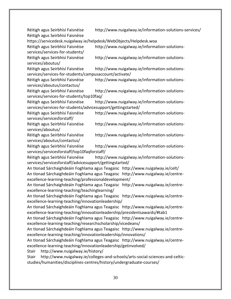Réitigh agus Seirbhísí Faisnéise http://www.nuigalway.ie/information-solutions-services/ Réitigh agus Seirbhísí Faisnéise https://servicedesk.nuigalway.ie/helpdesk/WebObjects/Helpdesk.woa Réitigh agus Seirbhísí Faisnéise http://www.nuigalway.ie/information-solutionsservices/services-for-students/ Réitigh agus Seirbhísí Faisnéise http://www.nuigalway.ie/information-solutionsservices/aboutus/ Réitigh agus Seirbhísí Faisnéise http://www.nuigalway.ie/information-solutionsservices/services-for-students/campusaccount/activate/ Réitigh agus Seirbhísí Faisnéise http://www.nuigalway.ie/information-solutionsservices/aboutus/contactus/ Réitigh agus Seirbhísí Faisnéise http://www.nuigalway.ie/information-solutionsservices/services-for-students/top10faq/ Réitigh agus Seirbhísí Faisnéise http://www.nuigalway.ie/information-solutionsservices/services-for-students/advicesupport/gettingstarted/ Réitigh agus Seirbhísí Faisnéise http://www.nuigalway.ie/information-solutionsservices/servicesforstaff/ Réitigh agus Seirbhísí Faisnéise http://www.nuigalway.ie/information-solutionsservices/aboutus/ Réitigh agus Seirbhísí Faisnéise http://www.nuigalway.ie/information-solutionsservices/aboutus/contactus/ Réitigh agus Seirbhísí Faisnéise http://www.nuigalway.ie/information-solutionsservices/servicesforstaff/top10faqforstaff/ Réitigh agus Seirbhísí Faisnéise http://www.nuigalway.ie/information-solutionsservices/servicesforstaff/advicesupport/gettingstarted/ An tIonad Sárchaighdeáin Foghlama agus Teagaisc http://www.nuigalway.ie/celt/ An tIonad Sárchaighdeáin Foghlama agus Teagaisc http://www.nuigalway.ie/centreexcellence-learning-teaching/professionaldevelopment/ An tIonad Sárchaighdeáin Foghlama agus Teagaisc http://www.nuigalway.ie/centreexcellence-learning-teaching/teachinglearning/ An tIonad Sárchaighdeáin Foghlama agus Teagaisc http://www.nuigalway.ie/centreexcellence-learning-teaching/innovationleadership/ An tIonad Sárchaighdeáin Foghlama agus Teagaisc http://www.nuigalway.ie/centreexcellence-learning-teaching/innovationleadership/presidentsawards/#tab1 An tIonad Sárchaighdeáin Foghlama agus Teagaisc http://www.nuigalway.ie/centreexcellence-learning-teaching/researchscholarship/vicedeans/ An tIonad Sárchaighdeáin Foghlama agus Teagaisc http://www.nuigalway.ie/centreexcellence-learning-teaching/innovationleadership/innovations/ An tIonad Sárchaighdeáin Foghlama agus Teagaisc http://www.nuigalway.ie/centreexcellence-learning-teaching/innovationleadership/getinvolved/ Stair http://www.nuigalway.ie/history/ Stair http://www.nuigalway.ie/colleges-and-schools/arts-social-sciences-and-celticstudies/humanities/disciplines-centres/history/undergraduate-courses/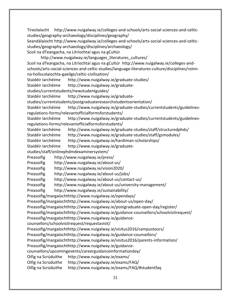Tíreolaíocht http://www.nuigalway.ie/colleges-and-schools/arts-social-sciences-and-celticstudies/geography-archaeology/disciplines/geography/

Seandálaíocht http://www.nuigalway.ie/colleges-and-schools/arts-social-sciences-and-celticstudies/geography-archaeology/disciplines/archaeology/ Scoil na dTeangacha, na Litríochtaí agus na gCultúr

http://www.nuigalway.ie/languages literatures cultures/ Scoil na dTeangacha, na Litríochtaí agus na gCultúr http://www.nuigalway.ie/colleges-andschools/arts-social-sciences-and-celtic-studies/language-literatures-culture/disciplines/roinnna-hollscolaiochta-gaeilge/celtic-civilisation/ Staidéir Iarchéime http://www.nuigalway.ie/graduate-studies/ Staidéir Iarchéime http://www.nuigalway.ie/graduatestudies/currentstudents/newstudentguides/ Staidéir Iarchéime http://www.nuigalway.ie/graduatestudies/currentstudents/postgraduateresearchstudentsorientation/ Staidéir Iarchéime http://www.nuigalway.ie/graduate-studies/currentstudents/guidelinesregulations-forms/relevantofficialformsforstudents/ Staidéir Iarchéime http://www.nuigalway.ie/graduate-studies/currentstudents/guidelinesregulations-forms/relevantofficialformsforstudents/ Staidéir Iarchéime http://www.nuigalway.ie/graduate-studies/staff/structuredphds/ Staidéir Iarchéime http://www.nuigalway.ie/graduate-studies/staff/gsmodules/ Staidéir Iarchéime http://www.nuigalway.ie/hardiman-scholarships/ Staidéir Iarchéime http://www.nuigalway.ie/graduatestudies/staff/onlinephdmdexaminersystem/ Preasoifig http://www.nuigalway.ie/press/ Preasoifig http://www.nuigalway.ie/about-us/ Preasoifig http://www.nuigalway.ie/vision2020/ Preasoifig http://www.nuigalway.ie/about-us/jobs/ Preasoifig http://www.nuigalway.ie/about-us/contact-us/ Preasoifig http://www.nuigalway.ie/about-us/university-management/ Preasoifig http://www.nuigalway.ie/sustainability/ Preasoifig/margaíochthttp://www.nuigalway.ie/opendays/ Preasoifig/margaíochthttp://www.nuigalway.ie/about-us/open-day/ Preasoifig/margaíochthttp://www.nuigalway.ie/postgraduate-open-day/register/ Preasoifig/margaíochthttp://www.nuigalway.ie/guidance-counsellors/schoolvisitrequest/ Preasoifig/margaíochthttp://www.nuigalway.ie/guidancecounsellors/schoolvisitrequest/requestavisit/ Preasoifig/margaíochthttp://www.nuigalway.ie/visitus2016/campustours/ Preasoifig/margaíochthttp://www.nuigalway.ie/guidance-counsellors/ Preasoifig/margaíochthttp://www.nuigalway.ie/visitus2016/parents-information/ Preasoifig/margaíochthttp://www.nuigalway.ie/guidancecounsellors/upcomingevents/careerguidanceinformationday/ Oifig na Scrúduithe http://www.nuigalway.ie/exams/ Oifig na Scrúduithe http://www.nuigalway.ie/exams/FAQ/ Oifig na Scrúduithe http://www.nuigalway.ie/exams/FAQ/#studentfaq